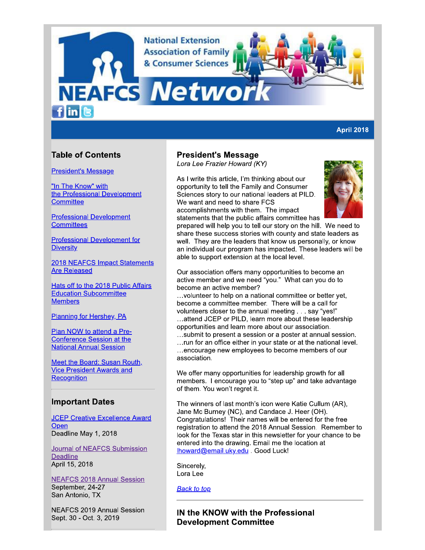**National Extension Association of Family** & Consumer Sciences

# **NEAFCS Netwo**  $f$  in  $\left[ \mathbf{e}\right]$

#### **April 2018**

# **Table of Contents**

#### **President's Message**

"In The Know" with the Professional Development Committee

**Professional Development Committees** 

**Professional Development for Diversity** 

2018 NEAFCS Impact Statements **Are Released** 

Hats off to the 2018 Public Affairs **Education Subcommittee Members** 

Planning for Hershey, PA

Plan NOW to attend a Pre-**Conference Session at the National Annual Session** 

Meet the Board: Susan Routh, **Vice President Awards and** Recognition

### **Important Dates**

**JCEP Creative Excellence Award** Open Deadline May 1, 2018

Journal of NEAFCS Submission **Deadline** April 15, 2018

**NEAFCS 2018 Annual Session** September, 24-27 San Antonio, TX

**NEAFCS 2019 Annual Session** Sept. 30 - Oct. 3, 2019

# **President's Message**

Lora Lee Frazier Howard (KY)

As I write this article, I'm thinking about our opportunity to tell the Family and Consumer Sciences story to our national leaders at PILD. We want and need to share FCS accomplishments with them. The impact statements that the public affairs committee has



prepared will help you to tell our story on the hill. We need to share these success stories with county and state leaders as well. They are the leaders that know us personally, or know an individual our program has impacted. These leaders will be able to support extension at the local level.

Our association offers many opportunities to become an active member and we need "you." What can you do to become an active member?

... volunteer to help on a national committee or better yet. become a committee member. There will be a call for volunteers closer to the annual meeting . . . say "yes!" ...attend JCEP or PILD, learn more about these leadership opportunities and learn more about our association.

...submit to present a session or a poster at annual session. ... run for an office either in your state or at the national level. ...encourage new employees to become members of our association.

We offer many opportunities for leadership growth for all members. I encourage you to "step up" and take advantage of them. You won't regret it.

The winners of last month's icon were Katie Cullum (AR), Jane Mc Burney (NC), and Candace J. Heer (OH). Congratulations! Their names will be entered for the free registration to attend the 2018 Annual Session. Remember to look for the Texas star in this newsletter for your chance to be entered into the drawing. Email me the location at Ihoward@email.uky.edu . Good Luck!

Sincerely, Lora Lee

**Back to top** 

# IN the KNOW with the Professional **Development Committee**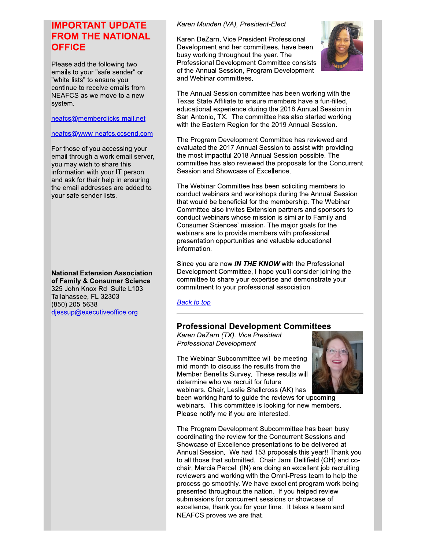# **IMPORTANT UPDATE FROM THE NATIONAL OFFICE**

Please add the following two emails to your "safe sender" or "white lists" to ensure you continue to receive emails from NEAFCS as we move to a new system.

#### neafcs@memberclicks-mail.net

#### neafcs@www-neafcs.ccsend.com

For those of you accessing your email through a work email server, you may wish to share this information with your IT person and ask for their help in ensuring the email addresses are added to your safe sender lists.

**National Extension Association** of Family & Consumer Science 325 John Knox Rd. Suite L103 Tallahassee, FL 32303 (850) 205-5638 djessup@executiveoffice.org

#### Karen Munden (VA), President-Elect

Karen DeZarn, Vice President Professional Development and her committees, have been busy working throughout the year. The Professional Development Committee consists of the Annual Session, Program Development and Webinar committees.



The Annual Session committee has been working with the Texas State Affiliate to ensure members have a fun-filled. educational experience during the 2018 Annual Session in San Antonio, TX. The committee has also started working with the Eastern Region for the 2019 Annual Session.

The Program Development Committee has reviewed and evaluated the 2017 Annual Session to assist with providing the most impactful 2018 Annual Session possible. The committee has also reviewed the proposals for the Concurrent Session and Showcase of Excellence.

The Webinar Committee has been soliciting members to conduct webinars and workshops during the Annual Session that would be beneficial for the membership. The Webinar Committee also invites Extension partners and sponsors to conduct webinars whose mission is similar to Family and Consumer Sciences' mission. The major goals for the webinars are to provide members with professional presentation opportunities and valuable educational information.

Since you are now IN THE KNOW with the Professional Development Committee, I hope you'll consider joining the committee to share your expertise and demonstrate your commitment to your professional association.

#### **Back to top**

# **Professional Development Committees**

Karen DeZarn (TX), Vice President **Professional Development** 

The Webinar Subcommittee will be meeting mid-month to discuss the results from the Member Benefits Survey. These results will determine who we recruit for future webinars. Chair, Leslie Shallcross (AK) has



been working hard to guide the reviews for upcoming webinars. This committee is looking for new members. Please notify me if you are interested.

The Program Development Subcommittee has been busy coordinating the review for the Concurrent Sessions and Showcase of Excellence presentations to be delivered at Annual Session. We had 153 proposals this year!! Thank you to all those that submitted. Chair Jami Dellifield (OH) and cochair, Marcia Parcell (IN) are doing an excellent job recruiting reviewers and working with the Omni-Press team to help the process go smoothly. We have excellent program work being presented throughout the nation. If you helped review submissions for concurrent sessions or showcase of excellence, thank you for your time. It takes a team and NEAFCS proves we are that.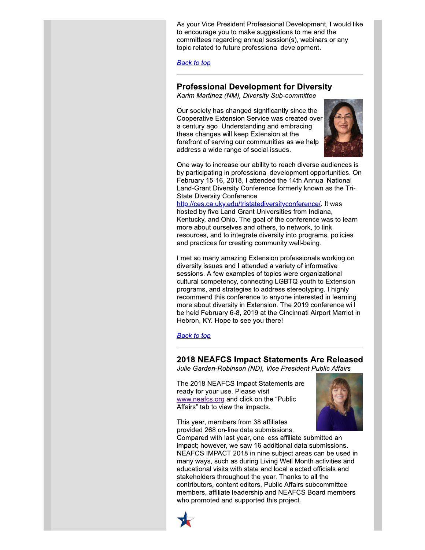As your Vice President Professional Development, I would like to encourage you to make suggestions to me and the committees regarding annual session(s), webinars or any topic related to future professional development.

**Back to top** 

# **Professional Development for Diversity**

Karim Martinez (NM), Diversity Sub-committee

Our society has changed significantly since the Cooperative Extension Service was created over a century ago. Understanding and embracing these changes will keep Extension at the forefront of serving our communities as we help address a wide range of social issues.



One way to increase our ability to reach diverse audiences is by participating in professional development opportunities. On February 15-16, 2018, I attended the 14th Annual National Land-Grant Diversity Conference formerly known as the Tri-**State Diversity Conference** 

http://ces.ca.uky.edu/tristatediversityconference/. It was hosted by five Land-Grant Universities from Indiana, Kentucky, and Ohio. The goal of the conference was to learn more about ourselves and others, to network, to link resources, and to integrate diversity into programs, policies and practices for creating community well-being.

I met so many amazing Extension professionals working on diversity issues and I attended a variety of informative sessions. A few examples of topics were organizational cultural competency, connecting LGBTQ youth to Extension programs, and strategies to address stereotyping. I highly recommend this conference to anyone interested in learning more about diversity in Extension. The 2019 conference will be held February 6-8, 2019 at the Cincinnati Airport Marriot in Hebron, KY. Hope to see you there!

#### **Back to top**

### 2018 NEAFCS Impact Statements Are Released

Julie Garden-Robinson (ND), Vice President Public Affairs

The 2018 NEAFCS Impact Statements are ready for your use. Please visit www.neafcs.org and click on the "Public" Affairs" tab to view the impacts.



This year, members from 38 affiliates provided 268 on-line data submissions.

Compared with last year, one less affiliate submitted an impact; however, we saw 16 additional data submissions. NEAFCS IMPACT 2018 in nine subject areas can be used in many ways, such as during Living Well Month activities and educational visits with state and local elected officials and stakeholders throughout the year. Thanks to all the contributors, content editors, Public Affairs subcommittee members, affiliate leadership and NEAFCS Board members who promoted and supported this project.

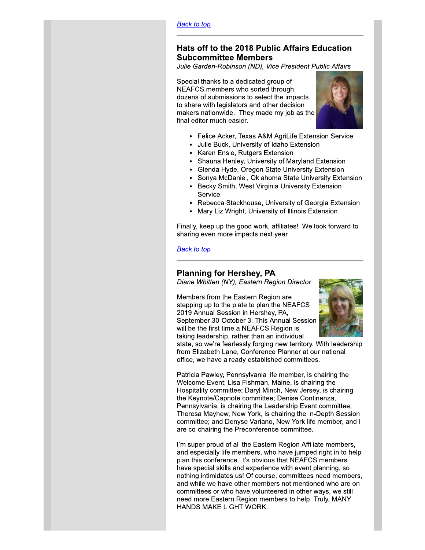#### <u>васк то тор</u>

# Hats off to the 2018 Public Affairs Educatic Hats off to the 2018 Public Affairs Education<br>Subcommittee Members

Julie Garden-Robinson (ND), Vice President Public Affairs

Back to top<br>
Hats off to the 2018 Public<br>
Subcommittee Members<br>
Julie Garden-Robinson (ND), Vice<br>
Special thanks to a dedicated grou<br>
NEAFCS members who sorted three<br>
dozens of submissions to select the<br>
to share with legi **P**<br> **to the 2018 Public Affairs Education**<br> **to the 2018 Public Affairs Education**<br> **then-Robinson (ND), Vice President Public Affairs**<br>
anks to a dedicated group of<br>
members who sorted through<br>
submissions to select the Special thanks to a dedicated group of NEAFCS members who sorted through dozens of submissions to select the impacts to share with legislators and other decision makers nationwide. They made my job as the final editor much easier.



- Felice Acker, Texas A&M AgriLife Extension Service
	- Julie Buck, University of Idaho Extension
- Karen Ensle, Rutgers Extension
- Shauna Henley, University of Maryland Extension
- Glenda Hyde, Oregon State University Extension  $\bullet$
- Sonya McDaniel, Oklahoma State University Extension
- Becky Smith, West Virginia University Extension Service
- Rebecca Stackhouse, University of Georgia Extension
- Mary Liz Wright, University of Illinois Extension

Finally, keep up the good work, affiliates! We look forward to sharing even more impacts next year.

#### <u>васк то тор</u>

Diane Whitten (NY), Eastern Region Director

Finally, keep up the good work, affiliates! We look forward to<br>
sharing even more impacts next year.<br> **Eack to top**<br> **Planning for Hershey, PA**<br>
Diane Whitten (NY), Eastern Region Director<br>
Members from the Eastern Region Members from the Eastern Region are stepping up to the plate to plan the NEAFCS 2019 Annual Session in Hershey, PA, September 30-October 3. This Annual Session will be the first time a NEAFCS Region is taking leadership, rather than an individual



state, so we're fearlessly forging new territory. With leadership from Elizabeth Lane, Conference Planner at our national office, we have already established committees.

Patricia Pawley, Pennsylvania life member, is chairing the Welcome Event; Lisa Fishman, Maine, is chairing the Hospitality committee; Daryl Minch, New Jersey, is chairing the Keynote/Capnote committee; Denise Continenza, Pennsylvania, is chairing the Leadership Event committee; Theresa Mayhew, New York, is chairing the In-Depth Session committee; and Denyse Variano, New York life member, and I are co-chairing the Preconference committee.

I'm super proud of all the Eastern Region Affiliate members, and especially life members, who have jumped right in to help plan this conference. It's obvious that NEAFCS members have special skills and experience with event planning, so nothing intimidates us! Of course, committees need members, and while we have other members not mentioned who are on committees or who have volunteered in other ways, we still need more Eastern Region members to help. Truly, MANY HANDS MAKE LIGHT WORK.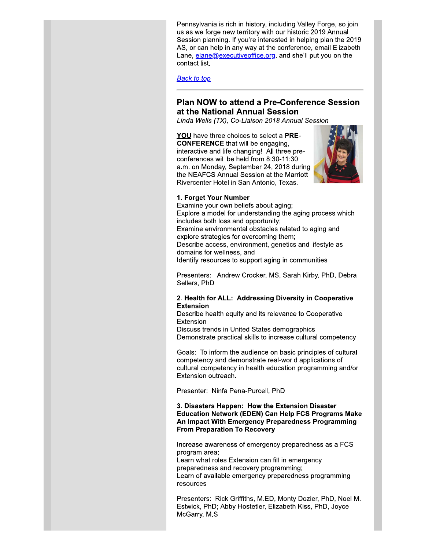Pennsylvania is rich in history, including Valley Forge, so join us as we forge new territory with our historic 2019 Annual Session planning. If you're interested in helping plan the 2019 AS, or can help in any way at the conference, email Elizabeth Lane,  $elane@executiveOffice.org$ , and she'll put you on the contact list.

#### **Back to top**

### **Plan NOW to attend a Pre-Conference Session** at the National Annual Session

Linda Wells (TX), Co-Liaison 2018 Annual Session

YOU have three choices to select a PRE-**CONFERENCE** that will be engaging. interactive and life changing! All three preconferences will be held from 8:30-11:30 a.m. on Monday, September 24, 2018 during the NEAFCS Annual Session at the Marriott Rivercenter Hotel in San Antonio, Texas.



#### 1. Forget Your Number

Examine your own beliefs about aging; Explore a model for understanding the aging process which includes both loss and opportunity; Examine environmental obstacles related to aging and explore strategies for overcoming them; Describe access, environment, genetics and lifestyle as domains for wellness, and Identify resources to support aging in communities.

Presenters: Andrew Crocker, MS, Sarah Kirby, PhD, Debra Sellers, PhD

#### 2. Health for ALL: Addressing Diversity in Cooperative **Extension**

Describe health equity and its relevance to Cooperative Extension

Discuss trends in United States demographics Demonstrate practical skills to increase cultural competency

Goals: To inform the audience on basic principles of cultural competency and demonstrate real-world applications of cultural competency in health education programming and/or Extension outreach.

Presenter: Ninfa Pena-Purcell, PhD

#### 3. Disasters Happen: How the Extension Disaster **Education Network (EDEN) Can Help FCS Programs Make** An Impact With Emergency Preparedness Programming **From Preparation To Recovery**

Increase awareness of emergency preparedness as a FCS program area;

Learn what roles Extension can fill in emergency preparedness and recovery programming; Learn of available emergency preparedness programming resources

Presenters: Rick Griffiths, M.ED, Monty Dozier, PhD, Noel M. Estwick, PhD; Abby Hostetler, Elizabeth Kiss, PhD, Joyce McGarry, M.S.